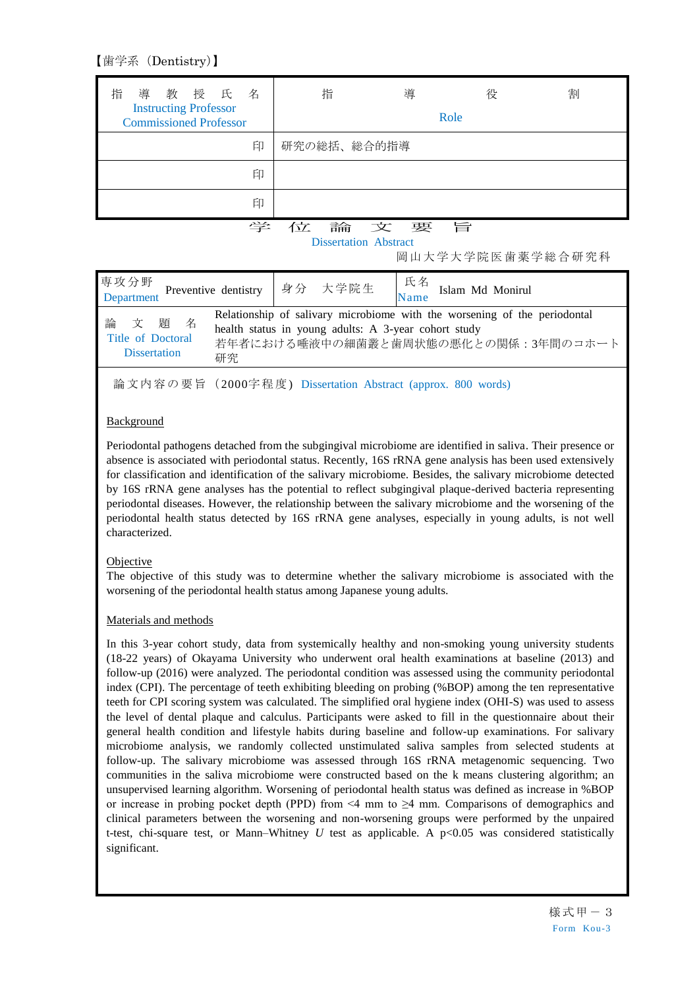【歯学系(Dentistry)】

| 導 教 授 氏<br>指<br>名<br><b>Instructing Professor</b><br><b>Commissioned Professor</b> | 指           | 導    | 役<br>Role | 割 |
|------------------------------------------------------------------------------------|-------------|------|-----------|---|
| 印                                                                                  | 研究の総括、総合的指導 |      |           |   |
| 印                                                                                  |             |      |           |   |
| 印                                                                                  |             |      |           |   |
| 学                                                                                  | 位           | 論文要旨 |           |   |

Dissertation Abstract

岡山大学大学院医歯薬学総合研究科

|                                                                                                                                                                                                                                        | 専攻分野<br>Department Preventive dentistry   身分 大学院生   氏名 Islam Md Monirul |  |  |
|----------------------------------------------------------------------------------------------------------------------------------------------------------------------------------------------------------------------------------------|-------------------------------------------------------------------------|--|--|
| Relationship of salivary microbiome with the worsening of the periodontal<br>文題名<br>論<br>health status in young adults: A 3-year cohort study<br>Title of Doctoral<br>若年者における唾液中の細菌叢と歯周状態の悪化との関係:3年間のコホート<br><b>Dissertation</b><br>研究 |                                                                         |  |  |

論文内容の要旨(2000字程度) Dissertation Abstract (approx. 800 words)

# Background

Periodontal pathogens detached from the subgingival microbiome are identified in saliva. Their presence or absence is associated with periodontal status. Recently, 16S rRNA gene analysis has been used extensively for classification and identification of the salivary microbiome. Besides, the salivary microbiome detected by 16S rRNA gene analyses has the potential to reflect subgingival plaque-derived bacteria representing periodontal diseases. However, the relationship between the salivary microbiome and the worsening of the periodontal health status detected by 16S rRNA gene analyses, especially in young adults, is not well characterized.

## Objective

The objective of this study was to determine whether the salivary microbiome is associated with the worsening of the periodontal health status among Japanese young adults.

## Materials and methods

In this 3-year cohort study, data from systemically healthy and non-smoking young university students (18-22 years) of Okayama University who underwent oral health examinations at baseline (2013) and follow-up (2016) were analyzed. The periodontal condition was assessed using the community periodontal index (CPI). The percentage of teeth exhibiting bleeding on probing (%BOP) among the ten representative teeth for CPI scoring system was calculated. The simplified oral hygiene index (OHI-S) was used to assess the level of dental plaque and calculus. Participants were asked to fill in the questionnaire about their general health condition and lifestyle habits during baseline and follow-up examinations. For salivary microbiome analysis, we randomly collected unstimulated saliva samples from selected students at follow-up. The salivary microbiome was assessed through 16S rRNA metagenomic sequencing. Two communities in the saliva microbiome were constructed based on the k means clustering algorithm; an unsupervised learning algorithm. Worsening of periodontal health status was defined as increase in %BOP or increase in probing pocket depth (PPD) from  $\leq 4$  mm to  $\geq 4$  mm. Comparisons of demographics and clinical parameters between the worsening and non-worsening groups were performed by the unpaired t-test, chi-square test, or Mann–Whitney *U* test as applicable. A p<0.05 was considered statistically significant.